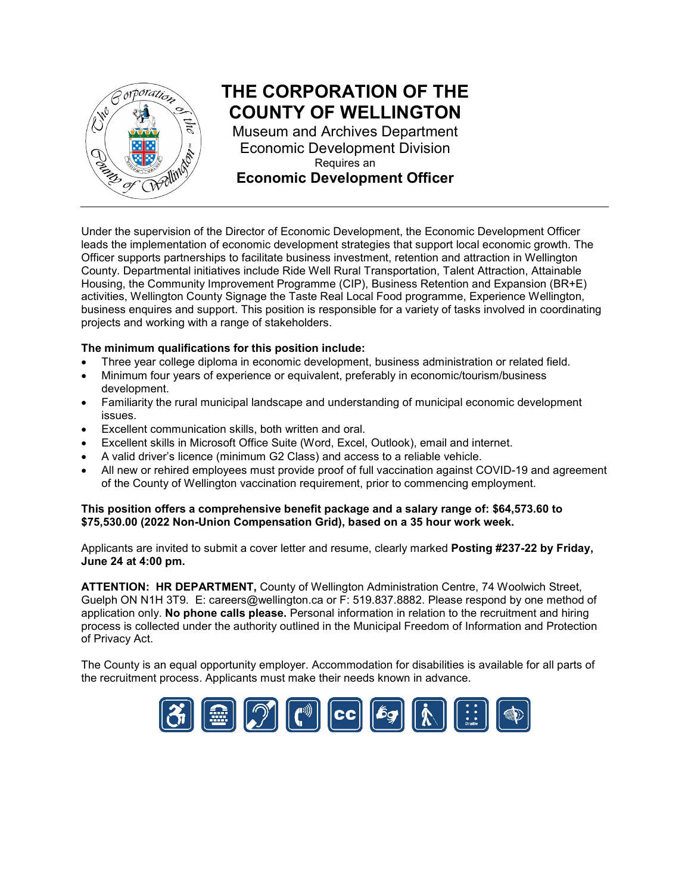

# **THE CORPORATION OF THE COUNTY OF WELLINGTON**

Museum and Archives Department Economic Development Division Requires an **Economic Development Officer**

Under the supervision of the Director of Economic Development, the Economic Development Officer leads the implementation of economic development strategies that support local economic growth. The Officer supports partnerships to facilitate business investment, retention and attraction in Wellington County. Departmental initiatives include Ride Well Rural Transportation, Talent Attraction, Attainable Housing, the Community Improvement Programme (CIP), Business Retention and Expansion (BR+E) activities, Wellington County Signage the Taste Real Local Food programme, Experience Wellington, business enquires and support. This position is responsible for a variety of tasks involved in coordinating projects and working with a range of stakeholders.

#### **The minimum qualifications for this position include:**

- Three year college diploma in economic development, business administration or related field.
- Minimum four years of experience or equivalent, preferably in economic/tourism/business development.
- Familiarity the rural municipal landscape and understanding of municipal economic development issues.
- Excellent communication skills, both written and oral.
- Excellent skills in Microsoft Office Suite (Word, Excel, Outlook), email and internet.
- A valid driver's licence (minimum G2 Class) and access to a reliable vehicle.
- All new or rehired employees must provide proof of full vaccination against COVID-19 and agreement of the County of Wellington vaccination requirement, prior to commencing employment.

#### **This position offers a comprehensive benefit package and a salary range of: \$64,573.60 to \$75,530.00 (2022 Non-Union Compensation Grid), based on a 35 hour work week.**

Applicants are invited to submit a cover letter and resume, clearly marked **Posting #237-22 by Friday, June 24 at 4:00 pm.**

**ATTENTION: HR DEPARTMENT,** County of Wellington Administration Centre, 74 Woolwich Street, Guelph ON N1H 3T9. E: [careers@wellington.ca](mailto:careers@wellington.ca) or F: 519.837.8882. Please respond by one method of application only. **No phone calls please.** Personal information in relation to the recruitment and hiring process is collected under the authority outlined in the Municipal Freedom of Information and Protection of Privacy Act.

The County is an equal opportunity employer. Accommodation for disabilities is available for all parts of the recruitment process. Applicants must make their needs known in advance.

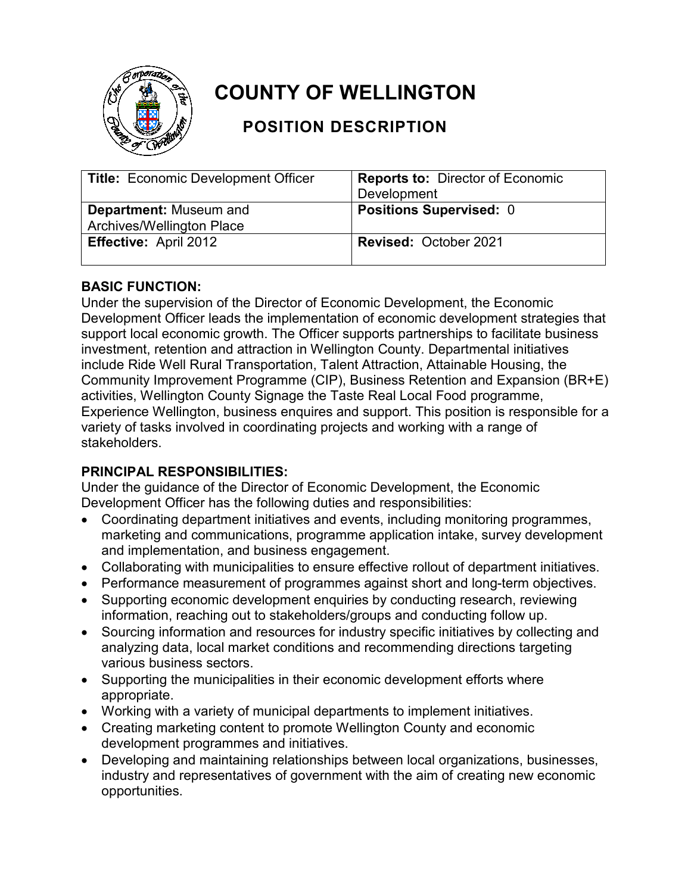

# **COUNTY OF WELLINGTON**

## **POSITION DESCRIPTION**

| <b>Title: Economic Development Officer</b> | <b>Reports to: Director of Economic</b> |
|--------------------------------------------|-----------------------------------------|
|                                            | Development                             |
| <b>Department: Museum and</b>              | <b>Positions Supervised: 0</b>          |
| Archives/Wellington Place                  |                                         |
| <b>Effective: April 2012</b>               | <b>Revised: October 2021</b>            |

### **BASIC FUNCTION:**

Under the supervision of the Director of Economic Development, the Economic Development Officer leads the implementation of economic development strategies that support local economic growth. The Officer supports partnerships to facilitate business investment, retention and attraction in Wellington County. Departmental initiatives include Ride Well Rural Transportation, Talent Attraction, Attainable Housing, the Community Improvement Programme (CIP), Business Retention and Expansion (BR+E) activities, Wellington County Signage the Taste Real Local Food programme, Experience Wellington, business enquires and support. This position is responsible for a variety of tasks involved in coordinating projects and working with a range of stakeholders.

## **PRINCIPAL RESPONSIBILITIES:**

Under the guidance of the Director of Economic Development, the Economic Development Officer has the following duties and responsibilities:

- Coordinating department initiatives and events, including monitoring programmes, marketing and communications, programme application intake, survey development and implementation, and business engagement.
- Collaborating with municipalities to ensure effective rollout of department initiatives.
- Performance measurement of programmes against short and long-term objectives.
- Supporting economic development enquiries by conducting research, reviewing information, reaching out to stakeholders/groups and conducting follow up.
- Sourcing information and resources for industry specific initiatives by collecting and analyzing data, local market conditions and recommending directions targeting various business sectors.
- Supporting the municipalities in their economic development efforts where appropriate.
- Working with a variety of municipal departments to implement initiatives.
- Creating marketing content to promote Wellington County and economic development programmes and initiatives.
- Developing and maintaining relationships between local organizations, businesses, industry and representatives of government with the aim of creating new economic opportunities.